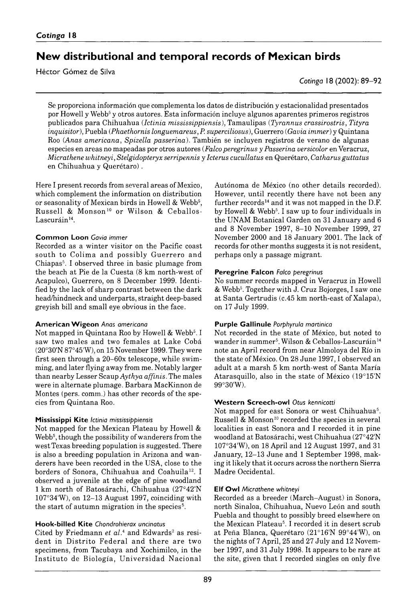# New distributional and temporal records of Mexican birds

Héctor Gómez de Silva

*Cotinga* 18 (2002): 89–92

Se proporciona información que complementa los datos de distribución y estacionalidad presentados por Howell y Webb<sup>5</sup> y otros autores. Esta información incluye algunos aparentes primeros registros publicados para Chihuahua (*Ictinia mississippiensis*), Tamaulipas (*Tyrannus crassirostris*, *Tityra inquisitor*), Puebla (*Phaethornis longuemareus*, *P. superciliosus*), Guerrero (*Gavia immer*) y Quintana Roo (*Anas americana*, *Spizella passerina*). También se incluyen registros de verano de algunas especies en areas no mapeadas por otros autores (*Falco peregrinus* y *Passerina versicolor* en Veracruz, *Micrathene whitneyi*, *Stelgidopteryx serripennis* y *Icterus cucullatus* en Querétaro, *Catharus guttatus* en Chihuahua y Querétaro).

Here I present records from several areas of Mexico, which complement the information on distribution or seasonality of Mexican birds in Howell & Webb<sup>5</sup>, Russell & Monson<sup>10</sup> or Wilson & Ceballos-Lascuráin<sup>14</sup>.

## **Common Loon** *Gavia immer*

Recorded as a winter visitor on the Pacific coast south to Colima and possibly Guerrero and Chiapas5. I observed three in basic plumage from the beach at Pie de la Cuesta (8 km north-west of Acapulco), Guerrero, on 8 December 1999. Identified by the lack of sharp contrast between the dark head/hindneck and underparts, straight deep-based greyish bill and small eye obvious in the face.

#### **American Wigeon** *Anas americana*

Not mapped in Quintana Roo by Howell & Webb<sup>5</sup>. I saw two males and two females at Lake Cobá (20°30'N 87°45'W), on 15 November 1999. They were first seen through a  $20-60x$  telescope, while swimming, and later flying away from me. Notably larger than nearby Lesser Scaup *Aythya affinis.* The males were in alternate plumage. Barbara MacKinnon de Montes (pers. comm.) has other records of the species from Quintana Roo.

## **Mississippi Kite** *Ictinia mississippiensis*

Not mapped for the Mexican Plateau by Howell & Webb<sup>5</sup>, though the possibility of wanderers from the west Texas breeding population is suggested. There is also a breeding population in Arizona and wanderers have been recorded in the USA, close to the borders of Sonora, Chihuahua and Coahuila<sup>12</sup>. I observed a juvenile at the edge of pine woodland 1 km north of Batosárachi, Chihuahua (27°42'N 107°34'W), on 12–13 August 1997, coinciding with the start of autumn migration in the species<sup>5</sup>.

## **Hook-billed Kite** *Chondrohierax uncinatus*

Cited by Friedmann et al.<sup>4</sup> and Edwards<sup>2</sup> as resident in Distrito Federal and there are two specimens, from Tacubaya and Xochimilco, in the Instituto de Biología, Universidad Nacional

Autónoma de México (no other details recorded). However, until recently there have not been any further records<sup>14</sup> and it was not mapped in the D.F. by Howell & Webb<sup>5</sup>. I saw up to four individuals in the UNAM Botanical Garden on 31 January and 6 and 8 November 1997, 8–10 November 1999, 27 November 2000 and 18 January 2001. The lack of records for other months suggests it is not resident, perhaps only a passage migrant.

#### **Peregrine Falcon** *Falco peregrinus*

No summer records mapped in Veracruz in Howell & Webb5. Together with J. Cruz Bojorges, I saw one at Santa Gertrudis (*c.* 45 km north-east of Xalapa), on 17 July 1999.

## **Purple Gallinule** *Porphyrula martinico*

Not recorded in the state of México, but noted to wander in summer<sup>5</sup>. Wilson & Ceballos-Lascuráin<sup>14</sup> note an April record from near Almoloya del Río in the state of México. On 28 June 1997, I observed an adult at a marsh 5 km north-west of Santa Maria Atarasquillo, also in the state of México (19°15'N 99°30'W).

## **Western Screech-Owl** *Otus kennicottii*

Not mapped for east Sonora or west Chihuahua<sup>5</sup>. Russell & Monson<sup>10</sup> recorded the species in several localities in east Sonora and I recorded it in pine woodland at Batosárachi, west Chihuahua (27°42'N 107°34'W), on 18 April and 12 August 1997, and 31 January, 12–13 June and 1 September 1998, making it likely that it occurs across the northern Sierra Madre Occidental.

## **Elf Owl** *Micrathene whitneyi*

Recorded as a breeder (March–August) in Sonora, north Sinaloa, Chihuahua, Nuevo León and south Puebla and thought to possibly breed elsewhere on the Mexican Plateau<sup>5</sup>. I recorded it in desert scrub at Peña Blanca, Querétaro (21°16'N 99°44'W), on the nights of 7 April, 25 and 27 July and 12 November 1997, and 31 July 1998. It appears to be rare at the site, given that I recorded singles on only five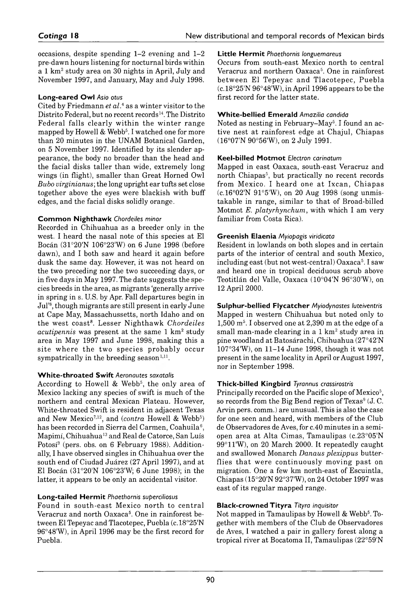occasions, despite spending 1–2 evening and 1–2 pre-dawn hours listening for nocturnal birds within a 1  $km^2$  study area on 30 nights in April, July and November 1997, and January, May and July 1998.

#### **Long-eared Owl** *Asio otus*

Cited by Friedmann *et al.*4 as a winter visitor to the Distrito Federal, but no recent records<sup>14</sup>. The Distrito Federal falls clearly within the winter range mapped by Howell & Webb<sup>5</sup>. I watched one for more than 20 minutes in the UNAM Botanical Garden, on 5 November 1997. Identified by its slender appearance, the body no broader than the head and the facial disks taller than wide, extremely long wings (in flight), smaller than Great Horned Owl *Bubo virginianus*; the long upright ear tufts set close together above the eyes were blackish with buff edges, and the facial disks solidly orange.

#### **Common Nighthawk** *Chordeiles minor*

Recorded in Chihuahua as a breeder only in the west. I heard the nasal note of this species at El Bocán (31°20'N 106°23'W) on 6 June 1998 (before dawn), and I both saw and heard it again before dusk the same day. However, it was not heard on the two preceding nor the two succeeding days, or in five days in May 1997. The date suggests the species breeds in the area, as migrants 'generally arrive in spring in s. U.S. by Apr. Fall departures begin in Jul<sup>'8</sup>, though migrants are still present in early June at Cape May, Massachussetts, north Idaho and on the west coast8. Lesser Nighthawk *Chordeiles acutipennis* was present at the same 1 km2 study area in May 1997 and June 1998, making this a site where the two species probably occur sympatrically in the breeding season<sup>1,11</sup>.

## **White-throated Swift** *Aeronautes saxatalis*

According to Howell & Webb<sup>5</sup>, the only area of Mexico lacking any species of swift is much of the northern and central Mexican Plateau. However, White-throated Swift is resident in adjacent Texas and New Mexico<sup>7,12</sup>, and (*contra* Howell & Webb<sup>5</sup>) has been recorded in Sierra del Carmen, Coahuila<sup>6</sup>, Mapimi, Chihuahua13 and Real de Catorce, San Luís Potosí<sup>3</sup> (pers. obs. on 6 February 1988). Additionally, I have observed singles in Chihuahua over the south end of Ciudad Juárez (27 April 1997), and at El Bocán (31°20'N 106°23'W; 6 June 1998); in the latter, it appears to be only an accidental visitor.

## **Long-tailed Hermit** *Phaethornis superciliosus*

Found in south-east Mexico north to central Veracruz and north Oaxaca<sup>5</sup>. One in rainforest between El Tepeyac and Tlacotepec, Puebla (*c.* 18°25'N 96°48'W), in April 1996 may be the first record for Puebla.

#### **Little Hermit** *Phaethornis longuemareus*

Occurs from south-east Mexico north to central Veracruz and northern Oaxaca<sup>5</sup>. One in rainforest between El Tepeyac and Tlacotepec, Puebla (*c.* 18°25'N 96°48'W), in April 1996 appears to be the first record for the latter state.

#### **White-bellied Emerald** *Amazilia candida*

Noted as nesting in February–May<sup>5</sup>. I found an active nest at rainforest edge at Chajul, Chiapas (16°07'N 90°56'W), on 2 July 1991.

#### **Keel-billed Motmot** *Electron carinatum*

Mapped in east Oaxaca, south-east Veracruz and north Chiapas<sup>5</sup>, but practically no recent records from Mexico. I heard one at Ixcan, Chiapas (*c.* 16°02'N 91°5'W), on 20 Aug 1998 (song unmistakable in range, similar to that of Broad-billed Motmot *E. platyrhynchum,* with which I am very familiar from Costa Rica).

#### **Greenish Elaenia** *Myiopagis viridicata*

Resident in lowlands on both slopes and in certain parts of the interior of central and south Mexico, including east (but not west-central)  $Oaxaca^5$ . I saw and heard one in tropical deciduous scrub above Teotitlán del Valle, Oaxaca (10°04'N 96°30'W), on 12 April 2000.

**Sulphur-bellied Flycatcher** *Myiodynastes luteiventris* Mapped in western Chihuahua but noted only to  $1,500$  m<sup>5</sup>. I observed one at  $2,390$  m at the edge of a small man-made clearing in a  $1 \text{ km}^2$  study area in pine woodland at Batosárachi, Chihuahua (27°42'N 107°34'W), on 11–14 June 1998, though it was not present in the same locality in April or August 1997, nor in September 1998.

## **Thick-billed Kingbird** *Tyrannus crassirostris*

Principally recorded on the Pacific slope of Mexico<sup>5</sup>, so records from the Big Bend region of  $Texas<sup>9</sup>$  (J.C. Arvin pers. comm.) are unusual. This is also the case for one seen and heard, with members of the Club de Observadores de Aves, for *c.* 40 minutes in a semiopen area at Alta Cimas, Tamaulipas (*c.* 23°05'N 99°11'W), on 20 March 2000. It repeatedly caught and swallowed Monarch *Danaus plexippus* butterflies that were continuously moving past on migration. One a few km north-east of Escuintla, Chiapas (15°20'N 92°37'W), on 24 October 1997 was east of its regular mapped range.

#### **Black-crowned Tityra** *Tityra inquisitor*

Not mapped in Tamaulipas by Howell & Webb5. Together with members of the Club de Observadores de Aves, I watched a pair in gallery forest along a tropical river at Bocatoma II, Tamaulipas (22°59'N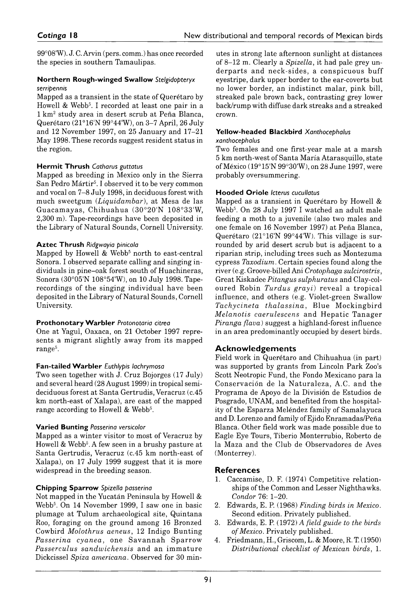99°08'W). J. C. Arvin (pers. comm.) has once recorded the species in southern Tamaulipas.

#### **Northern Rough-winged Swallow** *Stelgidopteryx serripennis*

Mapped as a transient in the state of Querétaro by Howell & Webb<sup>5</sup>. I recorded at least one pair in a 1 km2 study area in desert scrub at Peña Blanca, Querétaro (21°16'N 99°44'W), on 3–7 April, 26 July and 12 November 1997, on 25 January and 17–21 May 1998. These records suggest resident status in the region.

## **Hermit Thrush** *Catharus guttatus*

Mapped as breeding in Mexico only in the Sierra San Pedro Mártir<sup>5</sup>. I observed it to be very common and vocal on 7–8 July 1998, in deciduous forest with much sweetgum (*Liquidambar*), at Mesa de las Guacamayas, Chihuahua (30°20'N 108°33'W, 2300 m). Tape-recordings have been deposited in the Library of Natural Sounds, Cornell University.

## **Aztec Thrush** *Ridgwayia pinicola*

Mapped by Howell & Webb<sup>5</sup> north to east-central Sonora. I observed separate calling and singing individuals in pine-oak forest south of Huachineras, Sonora (30°05'N 108°54'W), on 10 July 1998. Taperecordings of the singing individual have been deposited in the Library of Natural Sounds, Cornell University.

## **Prothonotary Warbler** *Protonotaria citrea*

One at Yagul, Oaxaca, on 21 October 1997 represents a migrant slightly away from its mapped range<sup>5</sup>.

## **Fan-tailed Warbler** *Euthlypis lachrymosus*

Two seen together with J. Cruz Bojorges (17 July) and several heard (28 August 1999) in tropical semideciduous forest at Santa Gertrudis, Veracruz (c.45 km north-east of Xalapa), are east of the mapped range according to Howell & Webb<sup>5</sup>.

## **Varied Bunting** *Passerina versicolor*

Mapped as a winter visitor to most of Veracruz by Howell & Webb<sup>5</sup>. A few seen in a brushy pasture at Santa Gertrudis, Veracruz (*c.* 45 km north-east of Xalapa), on 17 July 1999 suggest that it is more widespread in the breeding season.

# **Chipping Sparrow** *Spizella passerina*

Not mapped in the Yucatán Peninsula by Howell & Webb5. On 14 November 1999, I saw one in basic plumage at Tulum archaeological site, Quintana Roo, foraging on the ground among 16 Bronzed Cowbird *Molothrus aeneus*, 12 Indigo Bunting *Passerina cyanea*, one Savannah Sparrow *Passerculus sandwichensis* and an immature Dickcissel *Spiza americana.* Observed for 30 minutes in strong late afternoon sunlight at distances of 8–12 m. Clearly a *Spizella*, it had pale grey underparts and neck-sides, a conspicuous buff eyestripe, dark upper border to the ear-coverts but no lower border, an indistinct malar, pink bill, streaked pale brown back, contrasting grey lower back/rump with diffuse dark streaks and a streaked crown.

#### **Yellow-headed Blackbird** *Xanthocephalus xanthocephalus*

Two females and one first-year male at a marsh 5 km north-west of Santa Maria Atarasquillo, state of México (19°15'N 99°30'W), on 28 June 1997, were probably oversummering.

## **Hooded Oriole** *Icterus cucullatus*

Mapped as a transient in Querétaro by Howell & Webb5. On 28 July 1997 I watched an adult male feeding a moth to a juvenile (also two males and one female on 16 November 1997) at Peña Blanca, Querétaro (21°16'N 99°44'W). This village is surrounded by arid desert scrub but is adjacent to a riparian strip, including trees such as Montezuma cypress *Taxodium.* Certain species found along the river (e.g. Groove-billed Ani *Crotophaga sulcirostris*, Great Kiskadee *Pitangus sulphuratus* and Clay-coloured Robin *Turdus grayi*) reveal a tropical influence, and others (e.g. Violet-green Swallow *Tachycineta th alassina*, Blue Mockingbird *Melanotis caerulescens* and Hepatic Tanager *Piranga flava*) suggest a highland-forest influence in an area predominantly occupied by desert birds.

# **Acknowledgements**

Field work in Querétaro and Chihuahua (in part) was supported by grants from Lincoln Park Zoo's Scott Neotropic Fund, the Fondo Mexicano para la Conservación de la Naturaleza, A.C. and the Programa de Apoyo de la Division de Estudios de Posgrado, UNAM, and benefited from the hospitality of the Esparza Meléndez family of Samalayuca and D. Lorenzo and family of Ejido Enramadas/Peña Blanca. Other field work was made possible due to Eagle Eye Tours, Tiberio Monterrubio, Roberto de la Maza and the Club de Observadores de Aves (Monterrey).

# **References**

- 1. Caccamise, D. F. (1974) Competitive relationships of the Common and Lesser Nighthawks. *Condor* 76: 1–20.
- 2. Edwards, E. P. (1968) *Finding birds in Mexico.* Second edition. Privately published.
- 3. Edwards, E. P. (1972) *A field guide to the birds of Mexico.* Privately published.
- 4. Friedmann, H., Griscom, L. & Moore, R. T. (1950) *Distributional checklist of Mexican birds,* 1.